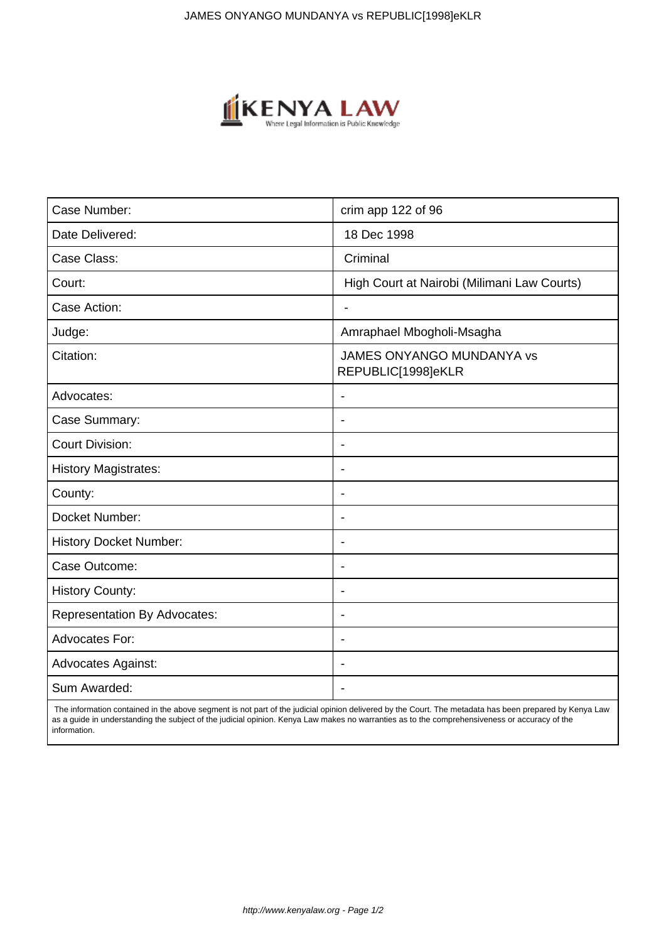

| Case Number:                        | crim app 122 of 96                                     |
|-------------------------------------|--------------------------------------------------------|
| Date Delivered:                     | 18 Dec 1998                                            |
| Case Class:                         | Criminal                                               |
| Court:                              | High Court at Nairobi (Milimani Law Courts)            |
| Case Action:                        | $\blacksquare$                                         |
| Judge:                              | Amraphael Mbogholi-Msagha                              |
| Citation:                           | <b>JAMES ONYANGO MUNDANYA vs</b><br>REPUBLIC[1998]eKLR |
| Advocates:                          | $\blacksquare$                                         |
| Case Summary:                       | $\overline{\phantom{0}}$                               |
| <b>Court Division:</b>              |                                                        |
| <b>History Magistrates:</b>         | $\blacksquare$                                         |
| County:                             | $\overline{\phantom{a}}$                               |
| Docket Number:                      |                                                        |
| <b>History Docket Number:</b>       | $\blacksquare$                                         |
| Case Outcome:                       |                                                        |
| <b>History County:</b>              | $\overline{\phantom{a}}$                               |
| <b>Representation By Advocates:</b> | $\overline{\phantom{a}}$                               |
| Advocates For:                      | $\overline{\phantom{a}}$                               |
| <b>Advocates Against:</b>           | $\overline{\phantom{a}}$                               |
| Sum Awarded:                        |                                                        |

 The information contained in the above segment is not part of the judicial opinion delivered by the Court. The metadata has been prepared by Kenya Law as a guide in understanding the subject of the judicial opinion. Kenya Law makes no warranties as to the comprehensiveness or accuracy of the information.